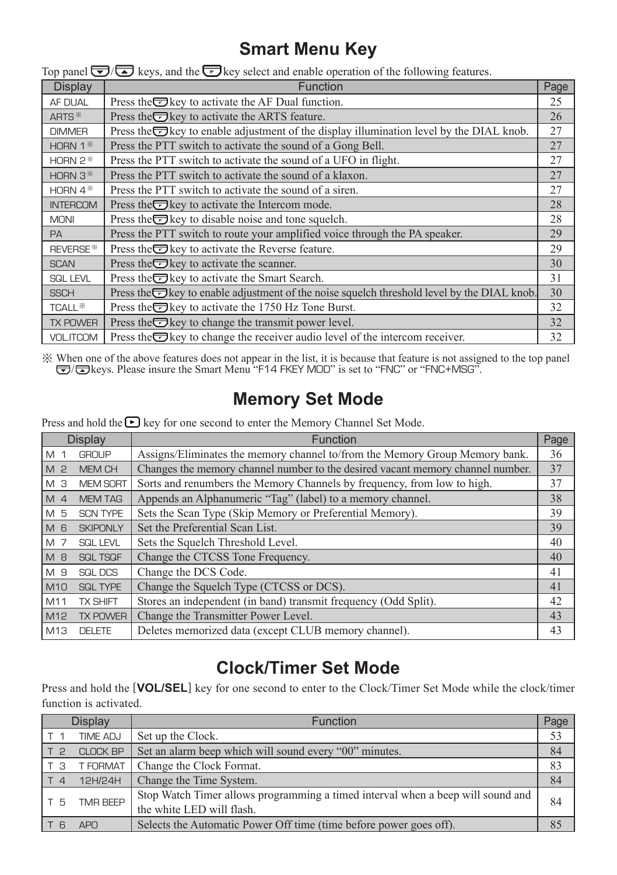## **Smart Menu Key**

| Display               | <b>Function</b>                                                                                             | Page |
|-----------------------|-------------------------------------------------------------------------------------------------------------|------|
| AF DUAL               | Press the $\blacksquare$ key to activate the AF Dual function.                                              | 25   |
| ARTS <sup>*</sup>     | Press the <del>⊙</del> key to activate the ARTS feature.                                                    | 26   |
| <b>DIMMER</b>         | Press the $\overline{\bullet}$ key to enable adjustment of the display illumination level by the DIAL knob. | 27   |
| HORN $1$ <sup>*</sup> | Press the PTT switch to activate the sound of a Gong Bell.                                                  | 27   |
| HORN $2$ <sup>*</sup> | Press the PTT switch to activate the sound of a UFO in flight.                                              | 27   |
| HORN $3$ <sup>*</sup> | Press the PTT switch to activate the sound of a klaxon.                                                     | 27   |
| HORN $4*$             | Press the PTT switch to activate the sound of a siren.                                                      | 27   |
| <b>INTERCOM</b>       | Press the $\Box$ key to activate the Intercom mode.                                                         | 28   |
| <b>MONI</b>           | Press the $\Box$ key to disable noise and tone squelch.                                                     | 28   |
| <b>PA</b>             | Press the PTT switch to route your amplified voice through the PA speaker.                                  | 29   |
| REVERSE <sup>*</sup>  | Press the $\blacksquare$ key to activate the Reverse feature.                                               | 29   |
| <b>SCAN</b>           | Press the $\Box$ key to activate the scanner.                                                               | 30   |
| <b>SQL LEVL</b>       | Press the <del>■</del> key to activate the Smart Search.                                                    | 31   |
| <b>SSCH</b>           | Press the okey to enable adjustment of the noise squelch threshold level by the DIAL knob.                  | 30   |
| TCALL <sup>*</sup>    | Press the $\equiv$ key to activate the 1750 Hz Tone Burst.                                                  | 32   |
| <b>TX POWER</b>       | Press the $\equiv$ key to change the transmit power level.                                                  | 32   |
| <b>VOL.ITCOM</b>      | Press the $\overline{\bullet}$ key to change the receiver audio level of the intercom receiver.             | 32   |

Top panel  $\overline{\blacktriangledown}$  keys, and the  $\overline{\blacktriangledown}$  key select and enable operation of the following features.

When one of the above features does not appear in the list, it is because that feature is not assigned to the top panel  $\bigodot/\bigodot$  keys. Please insure the Smart Menu "F14 FKEY MOD" is set to "FNC" or "FNC+MSG".

## **Memory Set Mode**

Press and hold the  $\blacktriangleright$  key for one second to enter the Memory Channel Set Mode.

| Display        |                 | Function                                                                       | Page |
|----------------|-----------------|--------------------------------------------------------------------------------|------|
| M 1            | <b>GROUP</b>    | Assigns/Eliminates the memory channel to/from the Memory Group Memory bank.    | 36   |
| M <sub>2</sub> | <b>MEM CH</b>   | Changes the memory channel number to the desired vacant memory channel number. | 37   |
| M 3            | <b>MEM SORT</b> | Sorts and renumbers the Memory Channels by frequency, from low to high.        | 37   |
| M <sub>4</sub> | <b>MEM TAG</b>  | Appends an Alphanumeric "Tag" (label) to a memory channel.                     | 38   |
| M 5            | <b>SCN TYPE</b> | Sets the Scan Type (Skip Memory or Preferential Memory).                       | 39   |
| M 6            | <b>SKIPONLY</b> | Set the Preferential Scan List.                                                | 39   |
| M 7            | <b>SQL LEVL</b> | Sets the Squelch Threshold Level.                                              | 40   |
| M 8            | <b>SQL TSQF</b> | Change the CTCSS Tone Frequency.                                               | 40   |
| M 9            | <b>SQL DCS</b>  | Change the DCS Code.                                                           | 41   |
| M10            | <b>SQL TYPE</b> | Change the Squelch Type (CTCSS or DCS).                                        | 41   |
| M11            | <b>TX SHIFT</b> | Stores an independent (in band) transmit frequency (Odd Split).                | 42   |
| M12            | <b>TX POWER</b> | Change the Transmitter Power Level.                                            | 43   |
| M13            | <b>DELETE</b>   | Deletes memorized data (except CLUB memory channel).                           | 43   |

## **Clock/Timer Set Mode**

Press and hold the [**VOL/SEL**] key for one second to enter to the Clock/Timer Set Mode while the clock/timer function is activated.

| Display        |                 | Function                                                                                                     | Page |
|----------------|-----------------|--------------------------------------------------------------------------------------------------------------|------|
|                | <b>TIME ADJ</b> | Set up the Clock.                                                                                            | 53   |
| T <sub>2</sub> | <b>CLOCK BP</b> | Set an alarm beep which will sound every "00" minutes.                                                       | 84   |
| тз             | T FORMAT        | Change the Clock Format.                                                                                     | 83   |
| IT 4           | 12H/24H         | Change the Time System.                                                                                      | 84   |
| T 5            | <b>TMR BEEP</b> | Stop Watch Timer allows programming a timed interval when a beep will sound and<br>the white LED will flash. | 84   |
| T 6            | <b>APO</b>      | Selects the Automatic Power Off time (time before power goes off).                                           |      |